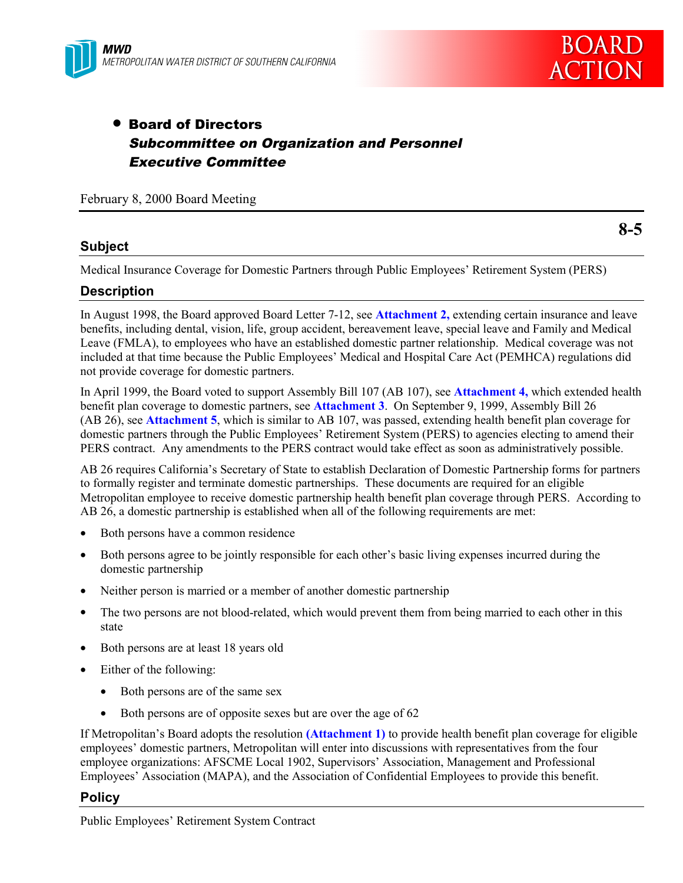

# • Board of Directors Subcommittee on Organization and Personnel Executive Committee

February 8, 2000 Board Meeting

**8-5**

# **Subject**

Medical Insurance Coverage for Domestic Partners through Public Employees' Retirement System (PERS)

# **Description**

In August 1998, the Board approved Board Letter 7-12, see **Attachment 2,** extending certain insurance and leave benefits, including dental, vision, life, group accident, bereavement leave, special leave and Family and Medical Leave (FMLA), to employees who have an established domestic partner relationship. Medical coverage was not included at that time because the Public Employees' Medical and Hospital Care Act (PEMHCA) regulations did not provide coverage for domestic partners.

In April 1999, the Board voted to support Assembly Bill 107 (AB 107), see **Attachment 4,** which extended health benefit plan coverage to domestic partners, see **Attachment 3**. On September 9, 1999, Assembly Bill 26 (AB 26), see **Attachment 5**, which is similar to AB 107, was passed, extending health benefit plan coverage for domestic partners through the Public Employees' Retirement System (PERS) to agencies electing to amend their PERS contract. Any amendments to the PERS contract would take effect as soon as administratively possible.

AB 26 requires California's Secretary of State to establish Declaration of Domestic Partnership forms for partners to formally register and terminate domestic partnerships. These documents are required for an eligible Metropolitan employee to receive domestic partnership health benefit plan coverage through PERS. According to AB 26, a domestic partnership is established when all of the following requirements are met:

- Both persons have a common residence
- Both persons agree to be jointly responsible for each other's basic living expenses incurred during the domestic partnership
- Neither person is married or a member of another domestic partnership
- The two persons are not blood-related, which would prevent them from being married to each other in this state
- Both persons are at least 18 years old
- Either of the following:
	- Both persons are of the same sex
	- Both persons are of opposite sexes but are over the age of 62

If Metropolitan's Board adopts the resolution **(Attachment 1)** to provide health benefit plan coverage for eligible employees' domestic partners, Metropolitan will enter into discussions with representatives from the four employee organizations: AFSCME Local 1902, Supervisors' Association, Management and Professional Employees' Association (MAPA), and the Association of Confidential Employees to provide this benefit.

# **Policy**

Public Employees' Retirement System Contract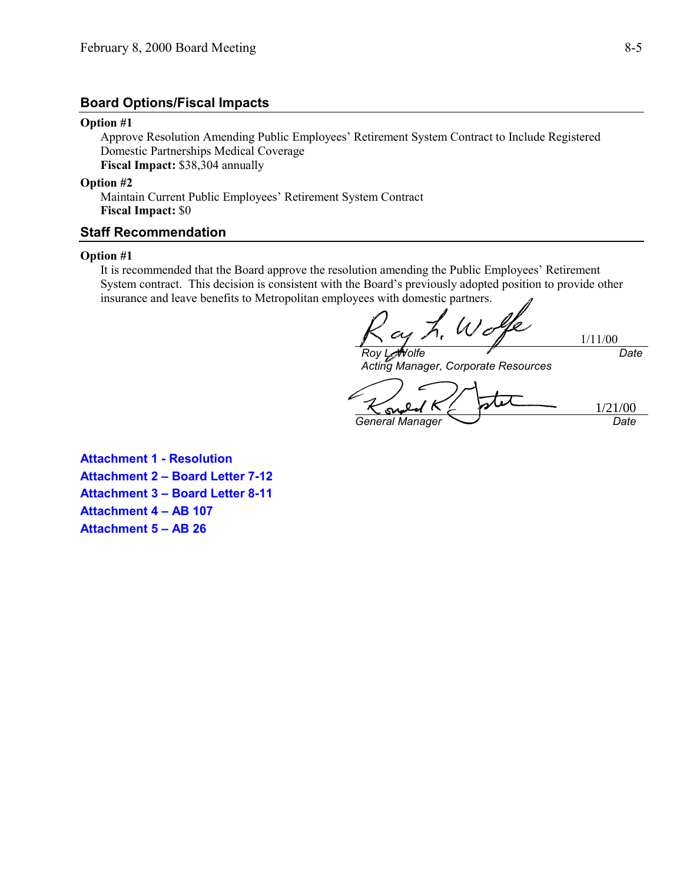# **Board Options/Fiscal Impacts**

## **Option #1**

Approve Resolution Amending Public Employees' Retirement System Contract to Include Registered Domestic Partnerships Medical Coverage **Fiscal Impact:** \$38,304 annually

## **Option #2**

Maintain Current Public Employees' Retirement System Contract **Fiscal Impact:** \$0

# **Staff Recommendation**

#### **Option #1**

It is recommended that the Board approve the resolution amending the Public Employees' Retirement System contract. This decision is consistent with the Board's previously adopted position to provide other insurance and leave benefits to Metropolitan employees with domestic partners.

1/11/00 *Roy L. Wolfe Date*

*Acting Manager, Corporate Resources*

1/21/00 $\infty$ *General Manager Date*

**Attachment 1 - Resolution Attachment 2 – Board Letter 7-12 Attachment 3 – Board Letter 8-11 Attachment 4 – AB 107 Attachment 5 – AB 26**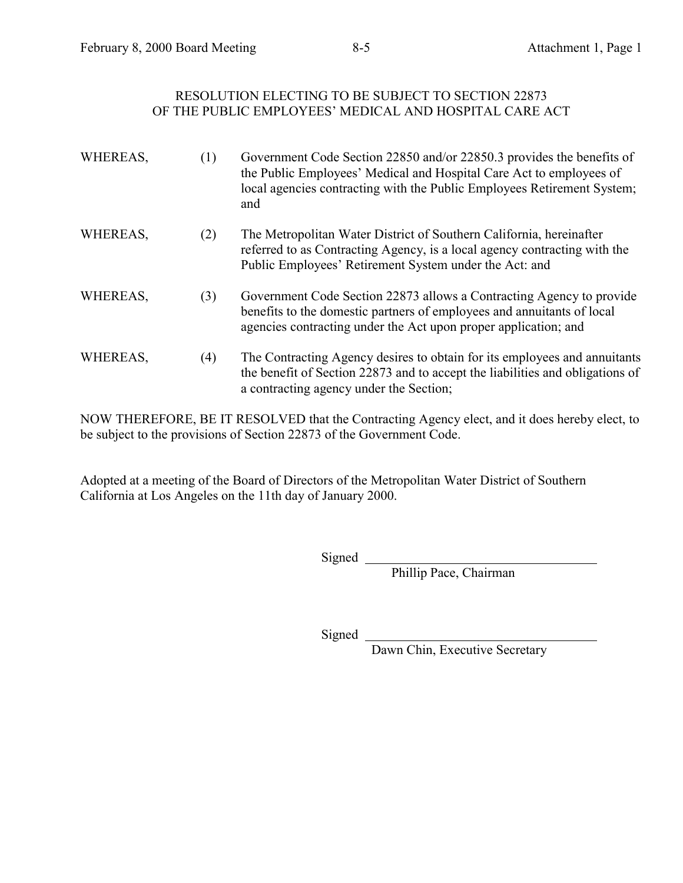# RESOLUTION ELECTING TO BE SUBJECT TO SECTION 22873 OF THE PUBLIC EMPLOYEES' MEDICAL AND HOSPITAL CARE ACT

| WHEREAS, | (1) | Government Code Section 22850 and/or 22850.3 provides the benefits of<br>the Public Employees' Medical and Hospital Care Act to employees of<br>local agencies contracting with the Public Employees Retirement System;<br>and |
|----------|-----|--------------------------------------------------------------------------------------------------------------------------------------------------------------------------------------------------------------------------------|
| WHEREAS, | (2) | The Metropolitan Water District of Southern California, hereinafter<br>referred to as Contracting Agency, is a local agency contracting with the<br>Public Employees' Retirement System under the Act: and                     |
| WHEREAS, | (3) | Government Code Section 22873 allows a Contracting Agency to provide<br>benefits to the domestic partners of employees and annuitants of local<br>agencies contracting under the Act upon proper application; and              |
| WHEREAS, | (4) | The Contracting Agency desires to obtain for its employees and annuitants<br>the benefit of Section 22873 and to accept the liabilities and obligations of<br>a contracting agency under the Section;                          |

NOW THEREFORE, BE IT RESOLVED that the Contracting Agency elect, and it does hereby elect, to be subject to the provisions of Section 22873 of the Government Code.

Adopted at a meeting of the Board of Directors of the Metropolitan Water District of Southern California at Los Angeles on the 11th day of January 2000.

Signed

Phillip Pace, Chairman

**Signed** 

Dawn Chin, Executive Secretary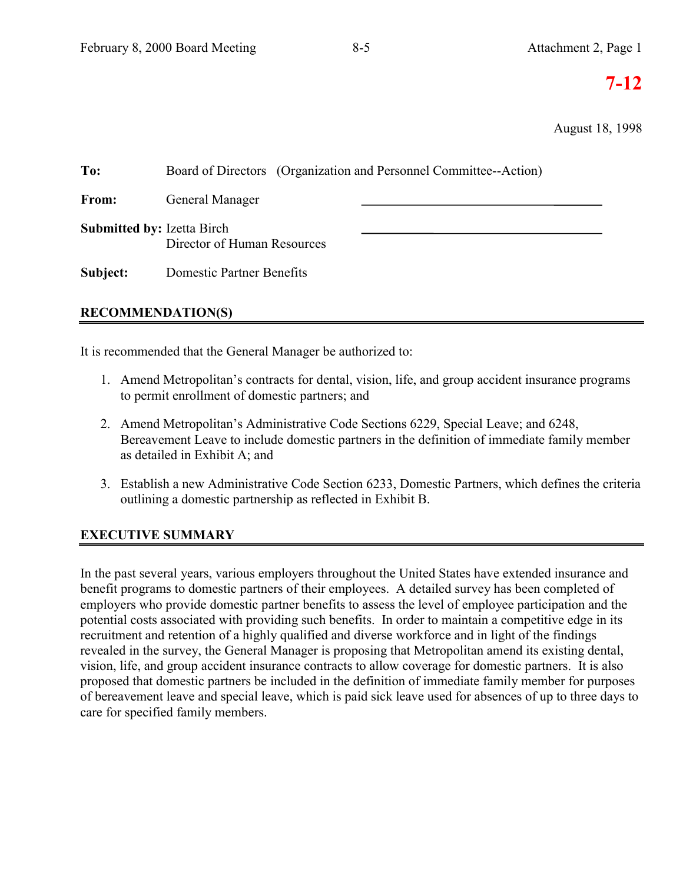# **7-12**

August 18, 1998

| To:                               | Board of Directors (Organization and Personnel Committee--Action) |
|-----------------------------------|-------------------------------------------------------------------|
| From:                             | General Manager                                                   |
| <b>Submitted by: Izetta Birch</b> | Director of Human Resources                                       |
| Subject:                          | Domestic Partner Benefits                                         |

# **RECOMMENDATION(S)**

It is recommended that the General Manager be authorized to:

- 1. Amend Metropolitan's contracts for dental, vision, life, and group accident insurance programs to permit enrollment of domestic partners; and
- 2. Amend Metropolitan's Administrative Code Sections 6229, Special Leave; and 6248, Bereavement Leave to include domestic partners in the definition of immediate family member as detailed in Exhibit A; and
- 3. Establish a new Administrative Code Section 6233, Domestic Partners, which defines the criteria outlining a domestic partnership as reflected in Exhibit B.

# **EXECUTIVE SUMMARY**

In the past several years, various employers throughout the United States have extended insurance and benefit programs to domestic partners of their employees. A detailed survey has been completed of employers who provide domestic partner benefits to assess the level of employee participation and the potential costs associated with providing such benefits. In order to maintain a competitive edge in its recruitment and retention of a highly qualified and diverse workforce and in light of the findings revealed in the survey, the General Manager is proposing that Metropolitan amend its existing dental, vision, life, and group accident insurance contracts to allow coverage for domestic partners. It is also proposed that domestic partners be included in the definition of immediate family member for purposes of bereavement leave and special leave, which is paid sick leave used for absences of up to three days to care for specified family members.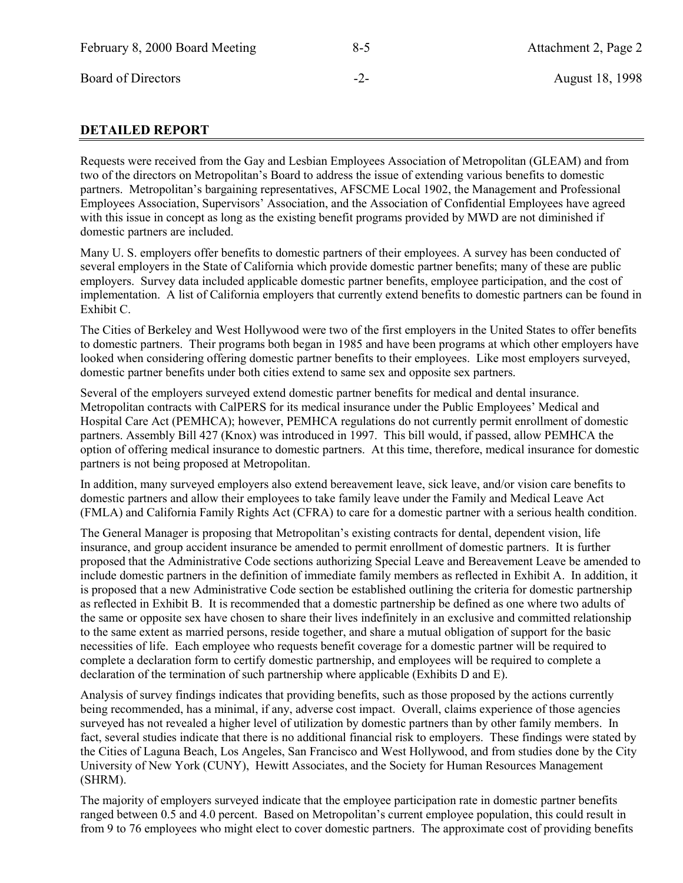| February 8, 2000 Board Meeting | $8-5$ | Attachment 2, Page 2 |
|--------------------------------|-------|----------------------|
| Board of Directors             | $-2-$ | August 18, 1998      |

# **DETAILED REPORT**

Requests were received from the Gay and Lesbian Employees Association of Metropolitan (GLEAM) and from two of the directors on Metropolitan's Board to address the issue of extending various benefits to domestic partners. Metropolitan's bargaining representatives, AFSCME Local 1902, the Management and Professional Employees Association, Supervisors' Association, and the Association of Confidential Employees have agreed with this issue in concept as long as the existing benefit programs provided by MWD are not diminished if domestic partners are included.

Many U. S. employers offer benefits to domestic partners of their employees. A survey has been conducted of several employers in the State of California which provide domestic partner benefits; many of these are public employers. Survey data included applicable domestic partner benefits, employee participation, and the cost of implementation. A list of California employers that currently extend benefits to domestic partners can be found in Exhibit C.

The Cities of Berkeley and West Hollywood were two of the first employers in the United States to offer benefits to domestic partners. Their programs both began in 1985 and have been programs at which other employers have looked when considering offering domestic partner benefits to their employees. Like most employers surveyed, domestic partner benefits under both cities extend to same sex and opposite sex partners.

Several of the employers surveyed extend domestic partner benefits for medical and dental insurance. Metropolitan contracts with CalPERS for its medical insurance under the Public Employees' Medical and Hospital Care Act (PEMHCA); however, PEMHCA regulations do not currently permit enrollment of domestic partners. Assembly Bill 427 (Knox) was introduced in 1997. This bill would, if passed, allow PEMHCA the option of offering medical insurance to domestic partners. At this time, therefore, medical insurance for domestic partners is not being proposed at Metropolitan.

In addition, many surveyed employers also extend bereavement leave, sick leave, and/or vision care benefits to domestic partners and allow their employees to take family leave under the Family and Medical Leave Act (FMLA) and California Family Rights Act (CFRA) to care for a domestic partner with a serious health condition.

The General Manager is proposing that Metropolitan's existing contracts for dental, dependent vision, life insurance, and group accident insurance be amended to permit enrollment of domestic partners. It is further proposed that the Administrative Code sections authorizing Special Leave and Bereavement Leave be amended to include domestic partners in the definition of immediate family members as reflected in Exhibit A. In addition, it is proposed that a new Administrative Code section be established outlining the criteria for domestic partnership as reflected in Exhibit B. It is recommended that a domestic partnership be defined as one where two adults of the same or opposite sex have chosen to share their lives indefinitely in an exclusive and committed relationship to the same extent as married persons, reside together, and share a mutual obligation of support for the basic necessities of life. Each employee who requests benefit coverage for a domestic partner will be required to complete a declaration form to certify domestic partnership, and employees will be required to complete a declaration of the termination of such partnership where applicable (Exhibits D and E).

Analysis of survey findings indicates that providing benefits, such as those proposed by the actions currently being recommended, has a minimal, if any, adverse cost impact. Overall, claims experience of those agencies surveyed has not revealed a higher level of utilization by domestic partners than by other family members. In fact, several studies indicate that there is no additional financial risk to employers. These findings were stated by the Cities of Laguna Beach, Los Angeles, San Francisco and West Hollywood, and from studies done by the City University of New York (CUNY), Hewitt Associates, and the Society for Human Resources Management (SHRM).

The majority of employers surveyed indicate that the employee participation rate in domestic partner benefits ranged between 0.5 and 4.0 percent. Based on Metropolitan's current employee population, this could result in from 9 to 76 employees who might elect to cover domestic partners. The approximate cost of providing benefits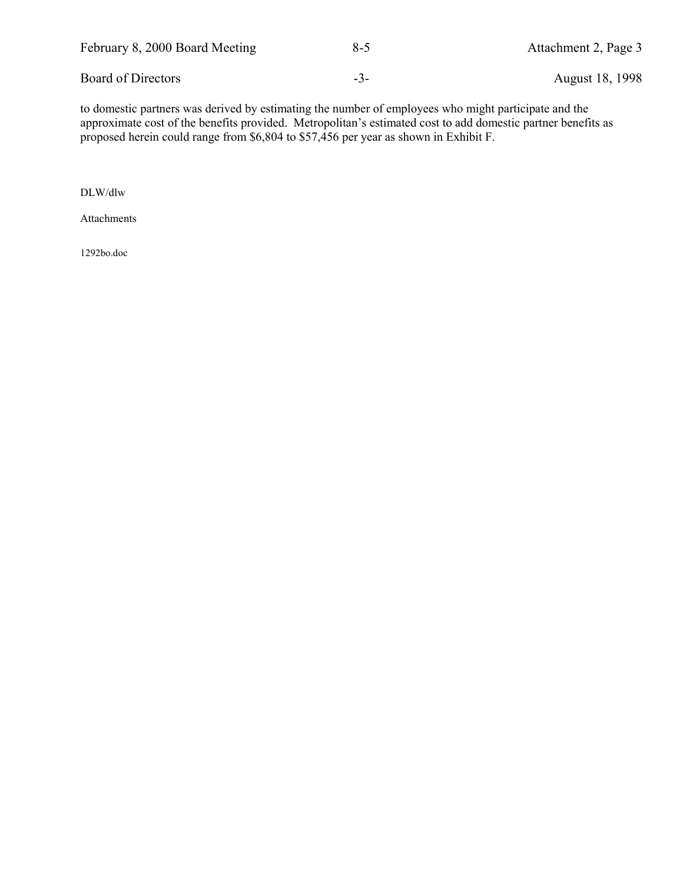| February 8, 2000 Board Meeting | $8-5$ | Attachment 2, Page 3 |
|--------------------------------|-------|----------------------|
| Board of Directors             | $-3-$ | August 18, 1998      |

to domestic partners was derived by estimating the number of employees who might participate and the approximate cost of the benefits provided. Metropolitan's estimated cost to add domestic partner benefits as proposed herein could range from \$6,804 to \$57,456 per year as shown in Exhibit F.

DLW/dlw

Attachments

1292bo.doc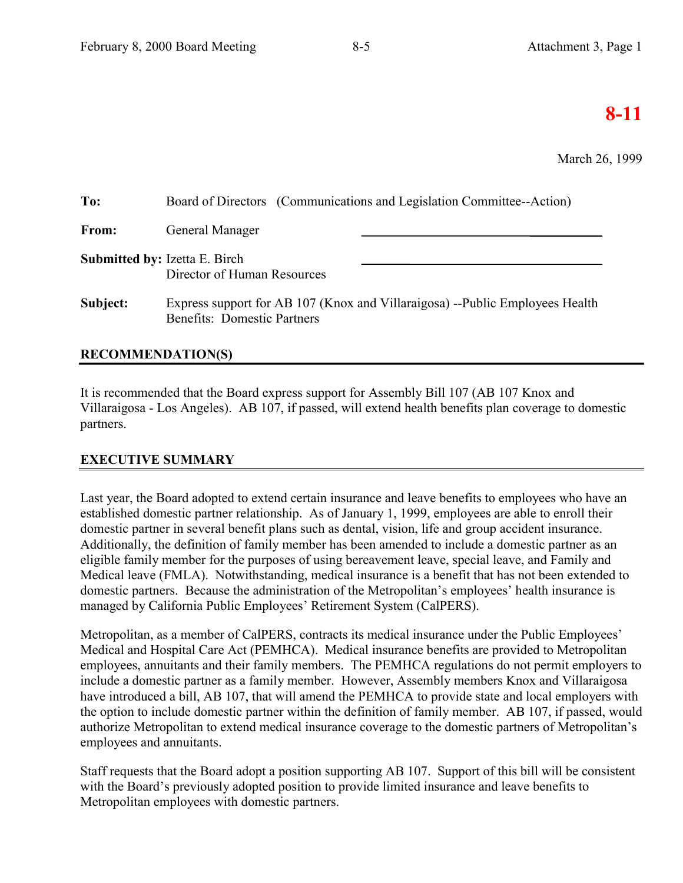# **8-11**

March 26, 1999

| To:                                  |                                    | Board of Directors (Communications and Legislation Committee-Action)         |
|--------------------------------------|------------------------------------|------------------------------------------------------------------------------|
| From:                                | General Manager                    |                                                                              |
| <b>Submitted by: Izetta E. Birch</b> | Director of Human Resources        |                                                                              |
| Subject:                             | <b>Benefits: Domestic Partners</b> | Express support for AB 107 (Knox and Villaraigosa) --Public Employees Health |

# **RECOMMENDATION(S)**

It is recommended that the Board express support for Assembly Bill 107 (AB 107 Knox and Villaraigosa - Los Angeles). AB 107, if passed, will extend health benefits plan coverage to domestic partners.

# **EXECUTIVE SUMMARY**

Last year, the Board adopted to extend certain insurance and leave benefits to employees who have an established domestic partner relationship. As of January 1, 1999, employees are able to enroll their domestic partner in several benefit plans such as dental, vision, life and group accident insurance. Additionally, the definition of family member has been amended to include a domestic partner as an eligible family member for the purposes of using bereavement leave, special leave, and Family and Medical leave (FMLA). Notwithstanding, medical insurance is a benefit that has not been extended to domestic partners. Because the administration of the Metropolitan's employees' health insurance is managed by California Public Employees' Retirement System (CalPERS).

Metropolitan, as a member of CalPERS, contracts its medical insurance under the Public Employees' Medical and Hospital Care Act (PEMHCA). Medical insurance benefits are provided to Metropolitan employees, annuitants and their family members. The PEMHCA regulations do not permit employers to include a domestic partner as a family member. However, Assembly members Knox and Villaraigosa have introduced a bill, AB 107, that will amend the PEMHCA to provide state and local employers with the option to include domestic partner within the definition of family member. AB 107, if passed, would authorize Metropolitan to extend medical insurance coverage to the domestic partners of Metropolitan's employees and annuitants.

Staff requests that the Board adopt a position supporting AB 107. Support of this bill will be consistent with the Board's previously adopted position to provide limited insurance and leave benefits to Metropolitan employees with domestic partners.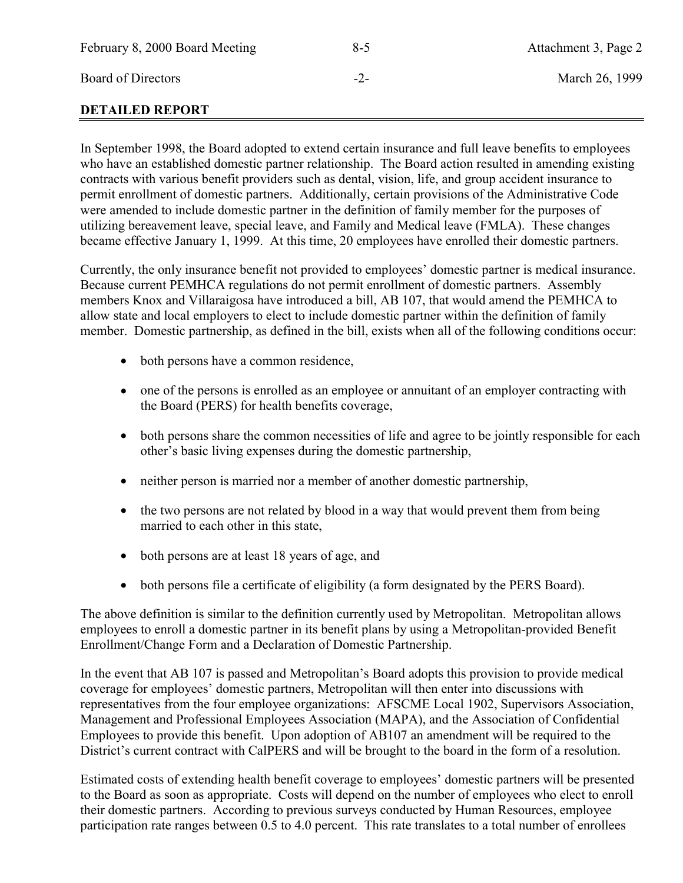| February 8, 2000 Board Meeting | $8-5$ | Attachment 3, Page 2 |
|--------------------------------|-------|----------------------|
| Board of Directors             | $-2$  | March 26, 1999       |
| <b>DETAILED REPORT</b>         |       |                      |

In September 1998, the Board adopted to extend certain insurance and full leave benefits to employees who have an established domestic partner relationship. The Board action resulted in amending existing contracts with various benefit providers such as dental, vision, life, and group accident insurance to permit enrollment of domestic partners. Additionally, certain provisions of the Administrative Code were amended to include domestic partner in the definition of family member for the purposes of utilizing bereavement leave, special leave, and Family and Medical leave (FMLA). These changes became effective January 1, 1999. At this time, 20 employees have enrolled their domestic partners.

Currently, the only insurance benefit not provided to employees' domestic partner is medical insurance. Because current PEMHCA regulations do not permit enrollment of domestic partners. Assembly members Knox and Villaraigosa have introduced a bill, AB 107, that would amend the PEMHCA to allow state and local employers to elect to include domestic partner within the definition of family member. Domestic partnership, as defined in the bill, exists when all of the following conditions occur:

- both persons have a common residence,
- one of the persons is enrolled as an employee or annuitant of an employer contracting with the Board (PERS) for health benefits coverage,
- both persons share the common necessities of life and agree to be jointly responsible for each other's basic living expenses during the domestic partnership,
- neither person is married nor a member of another domestic partnership,
- the two persons are not related by blood in a way that would prevent them from being married to each other in this state,
- both persons are at least 18 years of age, and
- both persons file a certificate of eligibility (a form designated by the PERS Board).

The above definition is similar to the definition currently used by Metropolitan. Metropolitan allows employees to enroll a domestic partner in its benefit plans by using a Metropolitan-provided Benefit Enrollment/Change Form and a Declaration of Domestic Partnership.

In the event that AB 107 is passed and Metropolitan's Board adopts this provision to provide medical coverage for employees' domestic partners, Metropolitan will then enter into discussions with representatives from the four employee organizations: AFSCME Local 1902, Supervisors Association, Management and Professional Employees Association (MAPA), and the Association of Confidential Employees to provide this benefit. Upon adoption of AB107 an amendment will be required to the District's current contract with CalPERS and will be brought to the board in the form of a resolution.

Estimated costs of extending health benefit coverage to employees' domestic partners will be presented to the Board as soon as appropriate. Costs will depend on the number of employees who elect to enroll their domestic partners. According to previous surveys conducted by Human Resources, employee participation rate ranges between 0.5 to 4.0 percent. This rate translates to a total number of enrollees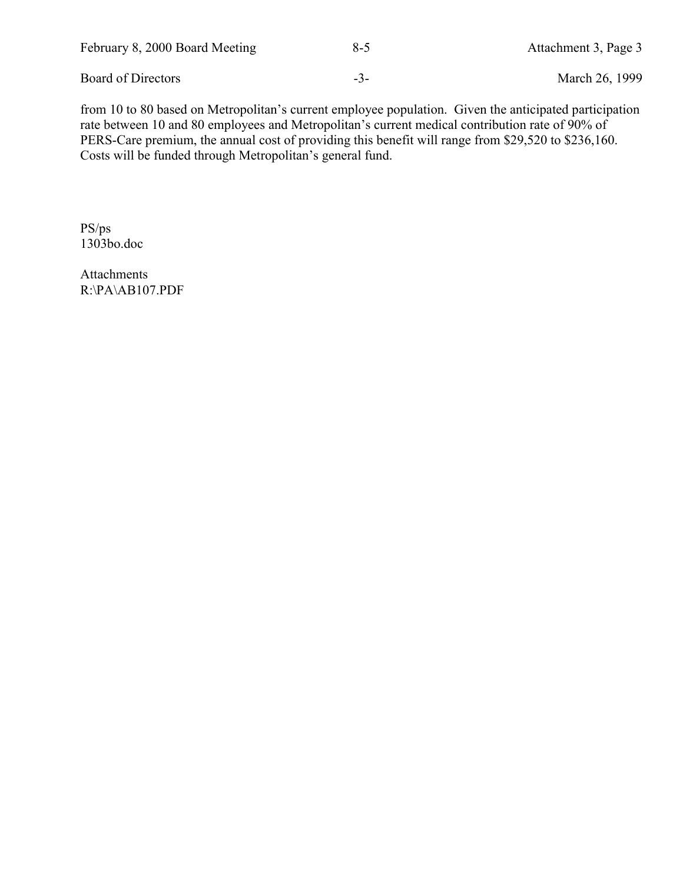| February 8, 2000 Board Meeting |
|--------------------------------|
|--------------------------------|

Board of Directors -3- March 26, 1999

from 10 to 80 based on Metropolitan's current employee population. Given the anticipated participation rate between 10 and 80 employees and Metropolitan's current medical contribution rate of 90% of PERS-Care premium, the annual cost of providing this benefit will range from \$29,520 to \$236,160. Costs will be funded through Metropolitan's general fund.

PS/ps 1303bo.doc

Attachments R:\PA\AB107.PDF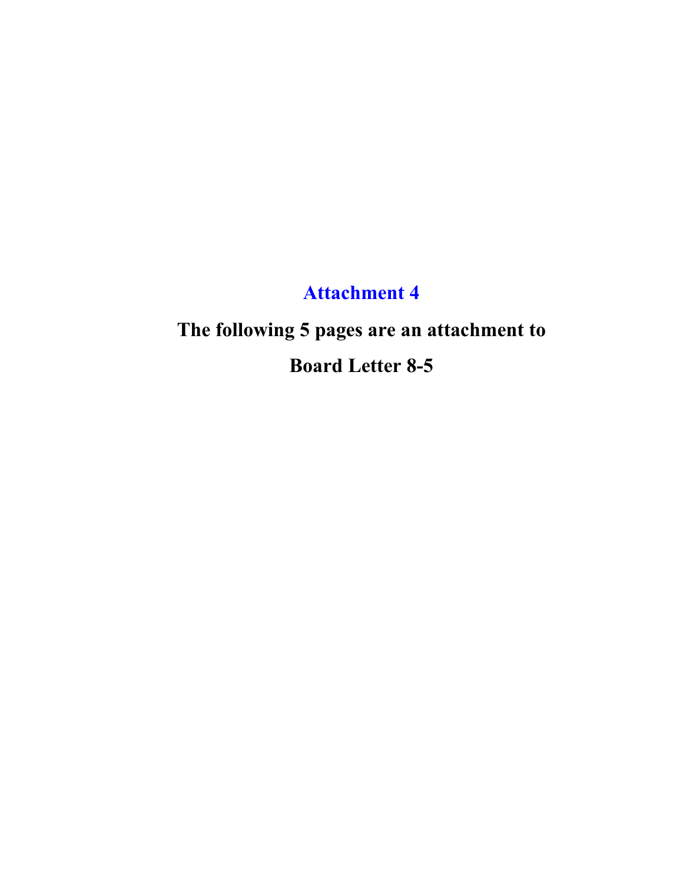# **Attachment 4**

# **The following 5 pages are an attachment to**

**Board Letter 8-5**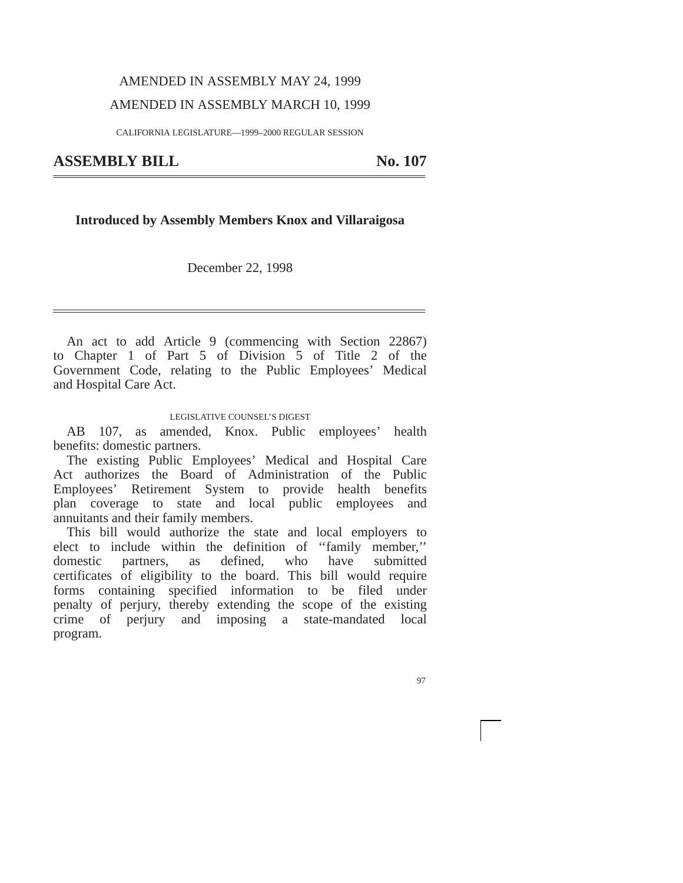## AMENDED IN ASSEMBLY MAY 24, 1999

## AMENDED IN ASSEMBLY MARCH 10, 1999

CALIFORNIA LEGISLATURE—1999–2000 REGULAR SESSION

# **ASSEMBLY BILL No. 107**

#### **Introduced by Assembly Members Knox and Villaraigosa**

December 22, 1998

An act to add Article 9 (commencing with Section 22867) to Chapter 1 of Part 5 of Division 5 of Title 2 of the Government Code, relating to the Public Employees' Medical and Hospital Care Act.

#### LEGISLATIVE COUNSEL'S DIGEST

AB 107, as amended, Knox. Public employees' health benefits: domestic partners.

The existing Public Employees' Medical and Hospital Care Act authorizes the Board of Administration of the Public Employees' Retirement System to provide health benefits plan coverage to state and local public employees and annuitants and their family members.

This bill would authorize the state and local employers to elect to include within the definition of ''family member,'' domestic partners, as defined, who have submitted certificates of eligibility to the board. This bill would require forms containing specified information to be filed under penalty of perjury, thereby extending the scope of the existing crime of perjury and imposing a state-mandated local program.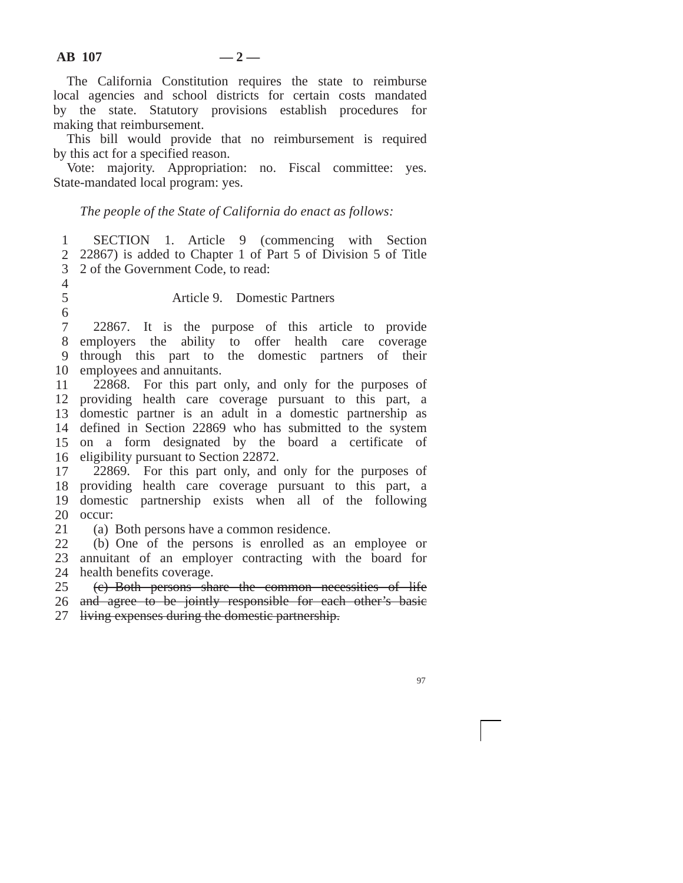The California Constitution requires the state to reimburse local agencies and school districts for certain costs mandated by the state. Statutory provisions establish procedures for making that reimbursement.

This bill would provide that no reimbursement is required by this act for a specified reason.

Vote: majority. Appropriation: no. Fiscal committee: yes. State-mandated local program: yes.

## *The people of the State of California do enact as follows:*

1 2 22867) is added to Chapter 1 of Part 5 of Division 5 of Title 3 2 of the Government Code, to read: 4 5 6 7 8 employers the ability to offer health care coverage 9 through this part to the domestic partners of their 10 employees and annuitants. 11 12 providing health care coverage pursuant to this part, a 13 domestic partner is an adult in a domestic partnership as 14 defined in Section 22869 who has submitted to the system 15 on a form designated by the board a certificate of 16 eligibility pursuant to Section 22872. 17 18 providing health care coverage pursuant to this part, a 19 domestic partnership exists when all of the following 20 occur: 21 22 23 annuitant of an employer contracting with the board for 24 health benefits coverage. 25 26 and agree to be jointly responsible for each other's basic SECTION 1. Article 9 (commencing with Section Article 9. Domestic Partners 22867. It is the purpose of this article to provide 22868. For this part only, and only for the purposes of 22869. For this part only, and only for the purposes of (a) Both persons have a common residence. (b) One of the persons is enrolled as an employee or (c) Both persons share the common necessities of life

27 living expenses during the domestic partnership.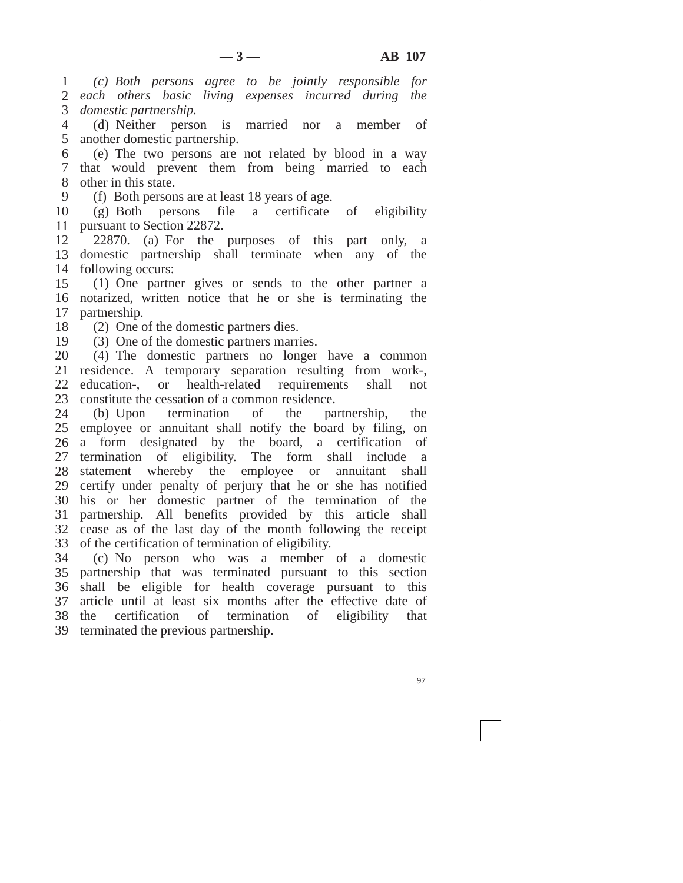*each others basic living expenses incurred during the (c) Both persons agree to be jointly responsible for domestic partnership.*

 another domestic partnership. (d) Neither person is married nor a member of

 that would prevent them from being married to each (e) The two persons are not related by blood in a way other in this state.

 (f) Both persons are at least 18 years of age.

 pursuant to Section 22872. (g) Both persons file a certificate of eligibility

 domestic partnership shall terminate when any of the following occurs: 22870. (a) For the purposes of this part only, a

 notarized, written notice that he or she is terminating the (1) One partner gives or sends to the other partner a partnership.

 (2) One of the domestic partners dies.

 (3) One of the domestic partners marries.

 residence. A temporary separation resulting from work-, education-, or health-related requirements shall not constitute the cessation of a common residence. (4) The domestic partners no longer have a common

 employee or annuitant shall notify the board by filing, on a form designated by the board, a certification of termination of eligibility. The form shall include a statement whereby the employee or annuitant shall certify under penalty of perjury that he or she has notified his or her domestic partner of the termination of the partnership. All benefits provided by this article shall cease as of the last day of the month following the receipt of the certification of termination of eligibility. (b) Upon termination of the partnership, the

 partnership that was terminated pursuant to this section shall be eligible for health coverage pursuant to this article until at least six months after the effective date of 38 the terminated the previous partnership.(c) No person who was a member of a domestic certification of termination of eligibility that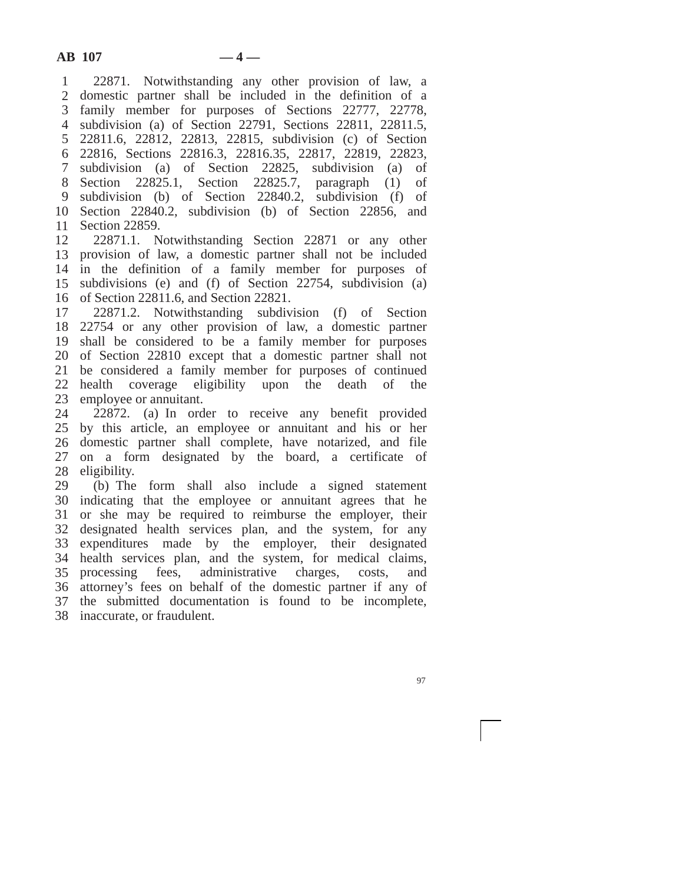domestic partner shall be included in the definition of a family member for purposes of Sections 22777, 22778, subdivision (a) of Section 22791, Sections 22811, 22811.5, 22811.6, 22812, 22813, 22815, subdivision (c) of Section 22816, Sections 22816.3, 22816.35, 22817, 22819, 22823, subdivision (a) of Section 22825, subdivision (a) of Section 22825.1, Section 22825.7, paragraph (1) of subdivision (b) of Section 22840.2, subdivision (f) of Section 22840.2, subdivision (b) of Section 22856, and Section 22859. 22871. Notwithstanding any other provision of law, a

 provision of law, a domestic partner shall not be included in the definition of a family member for purposes of subdivisions (e) and (f) of Section 22754, subdivision (a) of Section 22811.6, and Section 22821. 22871.1. Notwithstanding Section 22871 or any other

 22754 or any other provision of law, a domestic partner shall be considered to be a family member for purposes of Section 22810 except that a domestic partner shall not be considered a family member for purposes of continued health coverage eligibility upon the death of the employee or annuitant. 22871.2. Notwithstanding subdivision (f) of Section

 by this article, an employee or annuitant and his or her domestic partner shall complete, have notarized, and file on a form designated by the board, a certificate of eligibility. 22872. (a) In order to receive any benefit provided

 indicating that the employee or annuitant agrees that he or she may be required to reimburse the employer, their designated health services plan, and the system, for any expenditures made by the employer, their designated health services plan, and the system, for medical claims, processing fees, administrative charges, costs, and attorney's fees on behalf of the domestic partner if any of the submitted documentation is found to be incomplete, inaccurate, or fraudulent.(b) The form shall also include a signed statement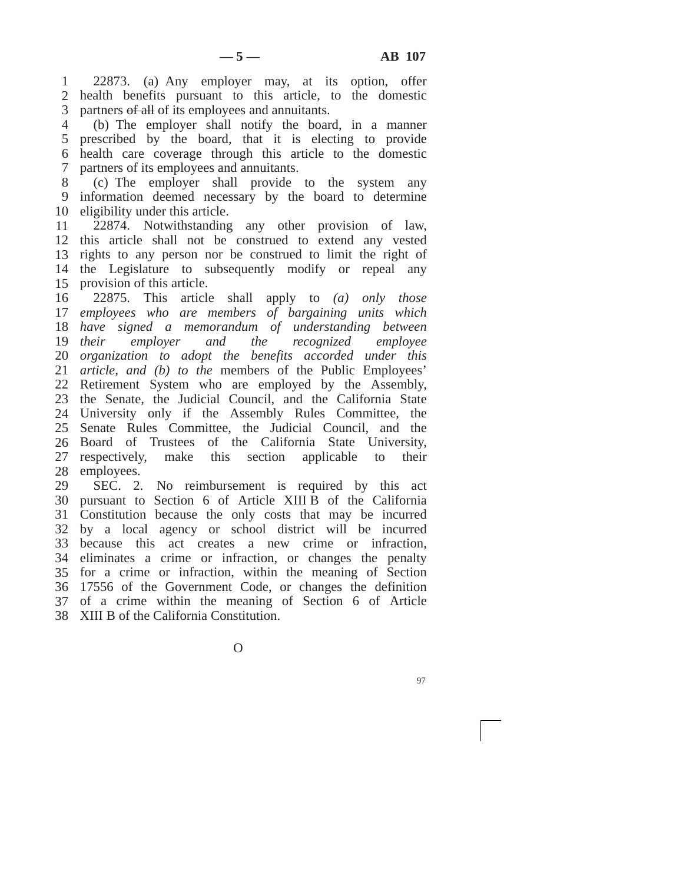health benefits pursuant to this article, to the domestic 22873. (a) Any employer may, at its option, offer partners of all of its employees and annuitants.

 prescribed by the board, that it is electing to provide (b) The employer shall notify the board, in a manner health care coverage through this article to the domestic partners of its employees and annuitants.

 information deemed necessary by the board to determine eligibility under this article. (c) The employer shall provide to the system any

 this article shall not be construed to extend any vested the Legislature to subsequently modify or repeal any provision of this article. 22874. Notwithstanding any other provision of law, rights to any person nor be construed to limit the right of

 *employees who are members of bargaining units which have signed a memorandum of understanding between their organization to adopt the benefits accorded under this article, and (b) to the* members of the Public Employees' Retirement System who are employed by the Assembly, the Senate, the Judicial Council, and the California State University only if the Assembly Rules Committee, the Senate Rules Committee, the Judicial Council, and the Board of Trustees of the California State University, 27 respectively, 22875. This article shall apply to *(a) only those employer* and the recognized employee make this section applicable to their employees.

 pursuant to Section 6 of Article XIII B of the California Constitution because the only costs that may be incurred by a local agency or school district will be incurred because this act creates a new crime or infraction, eliminates a crime or infraction, or changes the penalty for a crime or infraction, within the meaning of Section 17556 of the Government Code, or changes the definition of a crime within the meaning of Section 6 of Article XIII B of the California Constitution. SEC. 2. No reimbursement is required by this act

 $\Omega$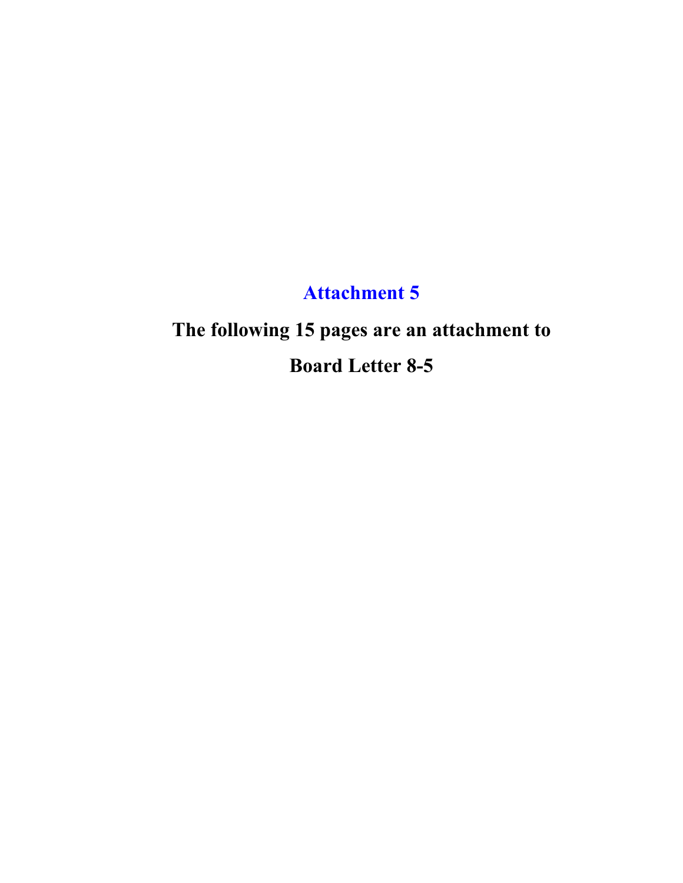# **Attachment 5**

# **The following 15 pages are an attachment to Board Letter 8-5**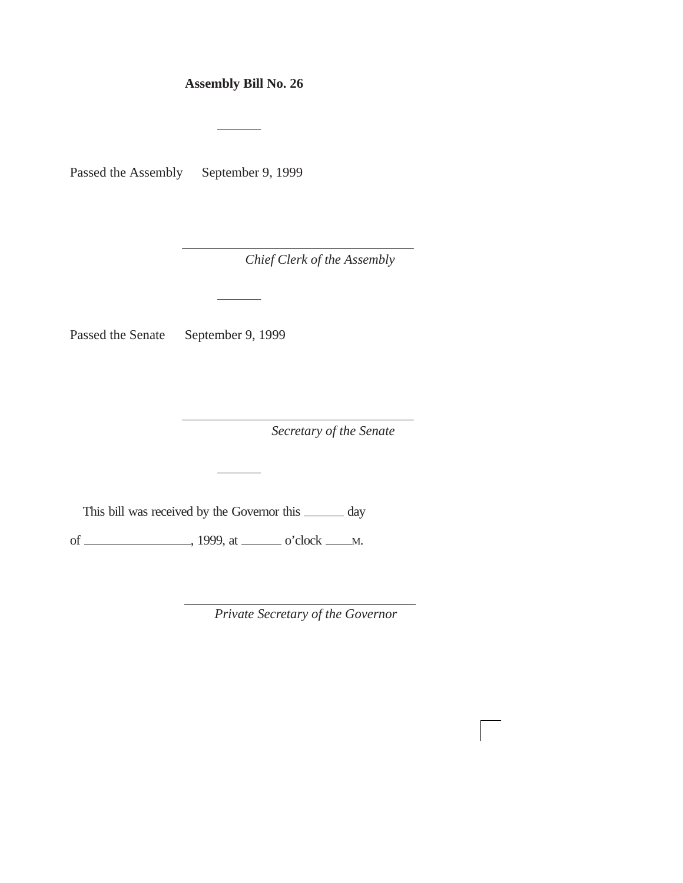# **Assembly Bill No. 26**

Passed the Assembly September 9, 1999

*Chief Clerk of the Assembly*

Passed the Senate September 9, 1999

*Secretary of the Senate*

This bill was received by the Governor this \_\_\_\_\_\_\_ day

of  $\frac{1999}{\ldots}$ , 1999, at  $\frac{1900}{\ldots}$  o'clock  $\frac{M}{\ldots}$ .

*Private Secretary of the Governor*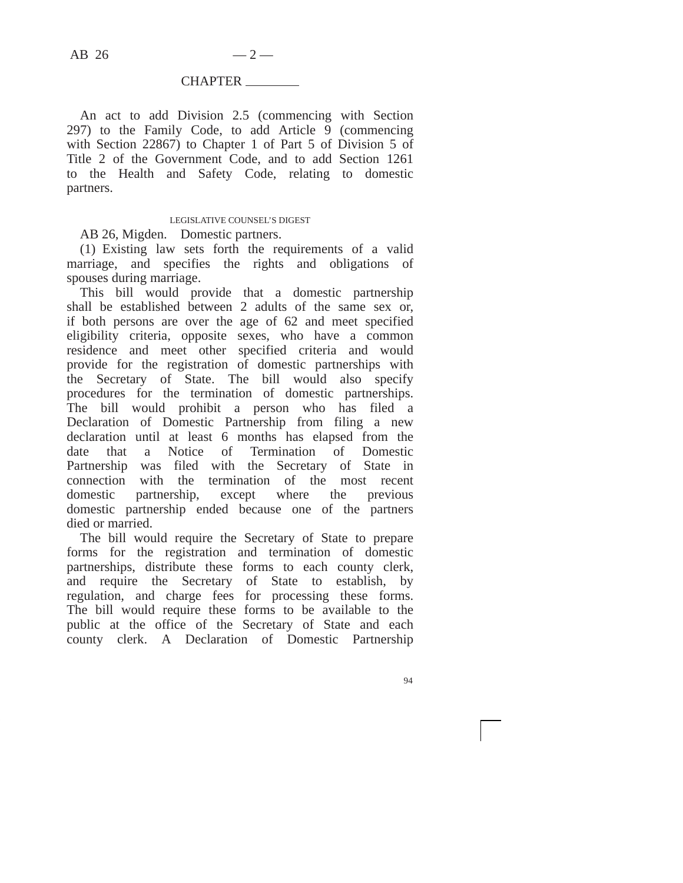## **CHAPTER**

An act to add Division 2.5 (commencing with Section 297) to the Family Code, to add Article 9 (commencing with Section 22867) to Chapter 1 of Part 5 of Division 5 of Title 2 of the Government Code, and to add Section 1261 to the Health and Safety Code, relating to domestic partners.

#### LEGISLATIVE COUNSEL'S DIGEST

AB 26, Migden. Domestic partners.

(1) Existing law sets forth the requirements of a valid marriage, and specifies the rights and obligations of spouses during marriage.

This bill would provide that a domestic partnership shall be established between 2 adults of the same sex or, if both persons are over the age of 62 and meet specified eligibility criteria, opposite sexes, who have a common residence and meet other specified criteria and would provide for the registration of domestic partnerships with the Secretary of State. The bill would also specify procedures for the termination of domestic partnerships. The bill would prohibit a person who has filed a Declaration of Domestic Partnership from filing a new declaration until at least 6 months has elapsed from the date that a Notice of Termination of Domestic Partnership was filed with the Secretary of State in connection with the termination of the most recent domestic partnership, except where the previous domestic partnership ended because one of the partners died or married.

The bill would require the Secretary of State to prepare forms for the registration and termination of domestic partnerships, distribute these forms to each county clerk, and require the Secretary of State to establish, by regulation, and charge fees for processing these forms. The bill would require these forms to be available to the public at the office of the Secretary of State and each county clerk. A Declaration of Domestic Partnership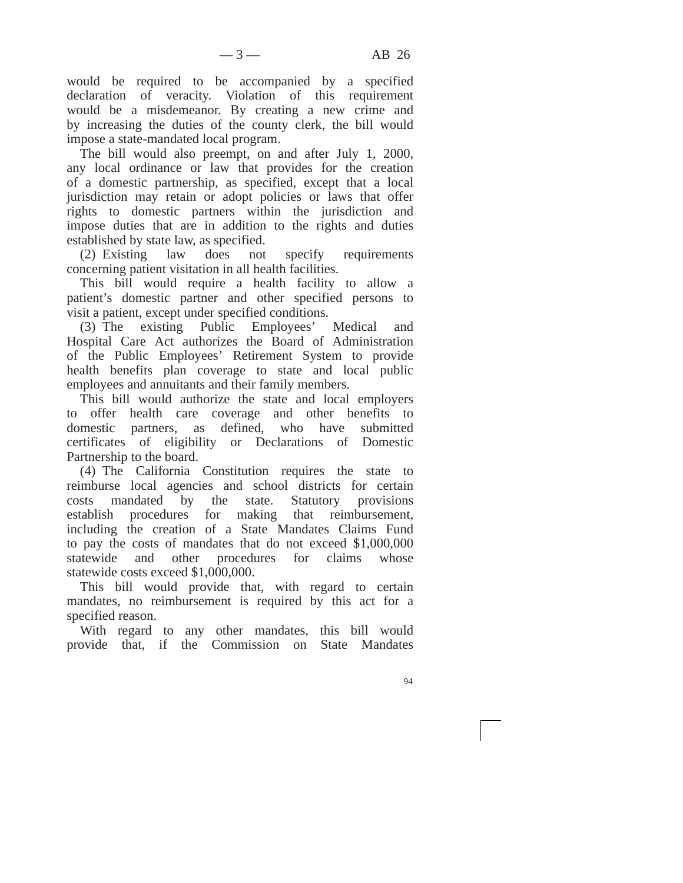would be required to be accompanied by a specified declaration of veracity. Violation of this requirement would be a misdemeanor. By creating a new crime and by increasing the duties of the county clerk, the bill would impose a state-mandated local program.

The bill would also preempt, on and after July 1, 2000, any local ordinance or law that provides for the creation of a domestic partnership, as specified, except that a local jurisdiction may retain or adopt policies or laws that offer rights to domestic partners within the jurisdiction and impose duties that are in addition to the rights and duties established by state law, as specified.

(2) Existing law does not specify requirements concerning patient visitation in all health facilities.

This bill would require a health facility to allow a patient's domestic partner and other specified persons to visit a patient, except under specified conditions.

(3) The existing Public Employees' Medical and Hospital Care Act authorizes the Board of Administration of the Public Employees' Retirement System to provide health benefits plan coverage to state and local public employees and annuitants and their family members.

This bill would authorize the state and local employers to offer health care coverage and other benefits to domestic partners, as defined, who have submitted certificates of eligibility or Declarations of Domestic Partnership to the board.

(4) The California Constitution requires the state to reimburse local agencies and school districts for certain costs mandated by the state. Statutory provisions establish procedures for making that reimbursement, including the creation of a State Mandates Claims Fund to pay the costs of mandates that do not exceed \$1,000,000 statewide and other procedures for claims whose statewide costs exceed \$1,000,000.

This bill would provide that, with regard to certain mandates, no reimbursement is required by this act for a specified reason.

With regard to any other mandates, this bill would provide that, if the Commission on State Mandates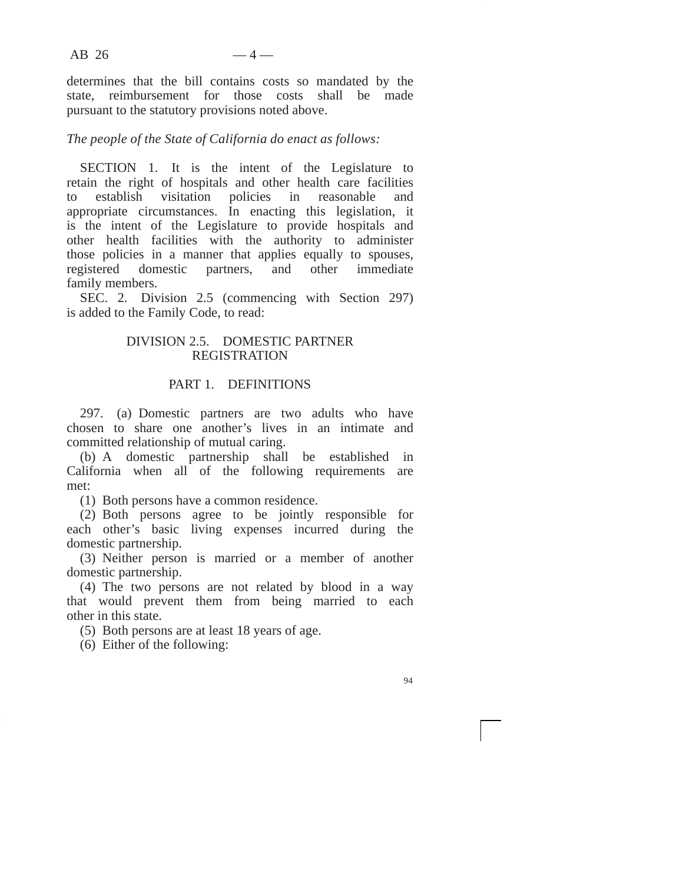determines that the bill contains costs so mandated by the state, reimbursement for those costs shall be made pursuant to the statutory provisions noted above.

## *The people of the State of California do enact as follows:*

SECTION 1. It is the intent of the Legislature to retain the right of hospitals and other health care facilities establish visitation policies in reasonable and appropriate circumstances. In enacting this legislation, it is the intent of the Legislature to provide hospitals and other health facilities with the authority to administer those policies in a manner that applies equally to spouses, registered domestic partners, and other immediate registered domestic partners, and other immediate family members.

SEC. 2. Division 2.5 (commencing with Section 297) is added to the Family Code, to read:

# DIVISION 2.5. DOMESTIC PARTNER REGISTRATION

## PART 1. DEFINITIONS

297. (a) Domestic partners are two adults who have chosen to share one another's lives in an intimate and committed relationship of mutual caring.

(b) A domestic partnership shall be established in California when all of the following requirements are met:

(1) Both persons have a common residence.

(2) Both persons agree to be jointly responsible for each other's basic living expenses incurred during the domestic partnership.

(3) Neither person is married or a member of another domestic partnership.

(4) The two persons are not related by blood in a way that would prevent them from being married to each other in this state.

(5) Both persons are at least 18 years of age.

(6) Either of the following: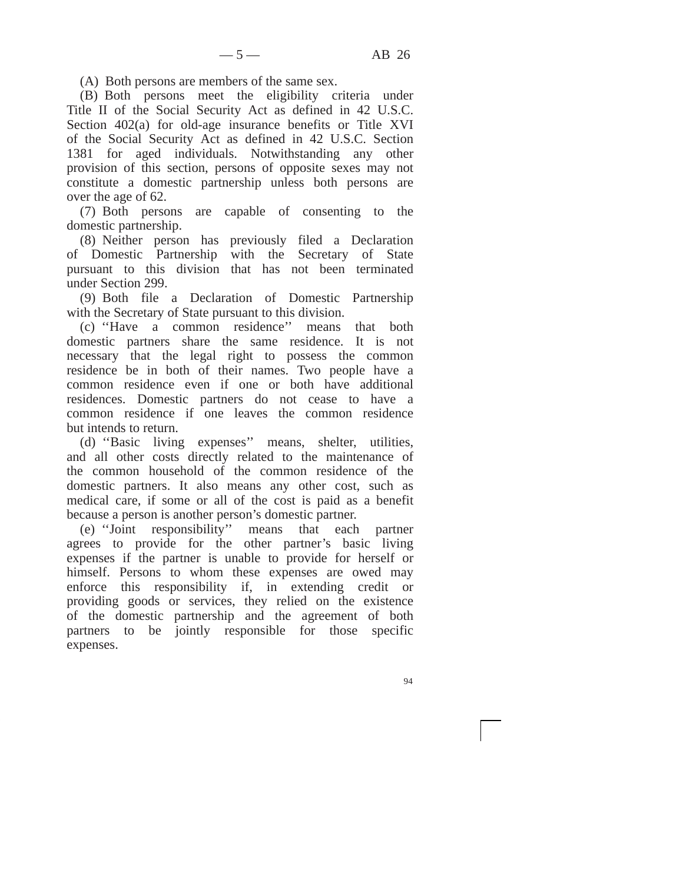(A) Both persons are members of the same sex.

(B) Both persons meet the eligibility criteria under Title II of the Social Security Act as defined in 42 U.S.C. Section 402(a) for old-age insurance benefits or Title XVI of the Social Security Act as defined in 42 U.S.C. Section 1381 for aged individuals. Notwithstanding any other provision of this section, persons of opposite sexes may not constitute a domestic partnership unless both persons are over the age of 62.

(7) Both persons are capable of consenting to the domestic partnership.

(8) Neither person has previously filed a Declaration of Domestic Partnership with the Secretary of State pursuant to this division that has not been terminated under Section 299.

(9) Both file a Declaration of Domestic Partnership with the Secretary of State pursuant to this division.

(c) ''Have a common residence'' means that both domestic partners share the same residence. It is not necessary that the legal right to possess the common residence be in both of their names. Two people have a common residence even if one or both have additional residences. Domestic partners do not cease to have a common residence if one leaves the common residence but intends to return.

(d) ''Basic living expenses'' means, shelter, utilities, and all other costs directly related to the maintenance of the common household of the common residence of the domestic partners. It also means any other cost, such as medical care, if some or all of the cost is paid as a benefit because a person is another person's domestic partner.

(e) ''Joint responsibility'' means that each partner agrees to provide for the other partner's basic living expenses if the partner is unable to provide for herself or himself. Persons to whom these expenses are owed may enforce this responsibility if, in extending credit or providing goods or services, they relied on the existence of the domestic partnership and the agreement of both partners to be jointly responsible for those specific expenses.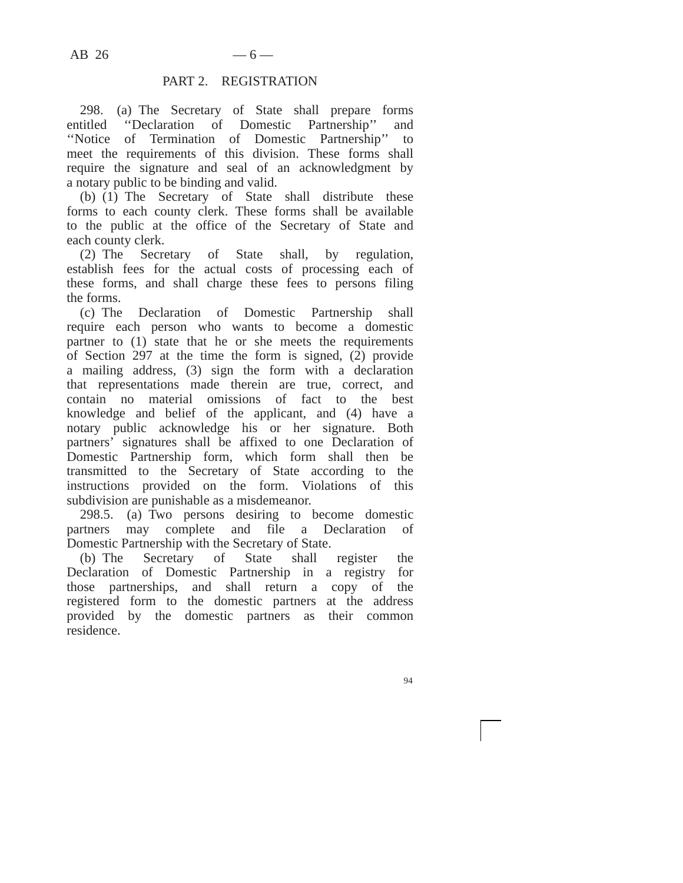# PART 2. REGISTRATION

298. (a) The Secretary of State shall prepare forms entitled ''Declaration of Domestic Partnership'' and ''Notice of Termination of Domestic Partnership'' to meet the requirements of this division. These forms shall require the signature and seal of an acknowledgment by a notary public to be binding and valid.

(b) (1) The Secretary of State shall distribute these forms to each county clerk. These forms shall be available to the public at the office of the Secretary of State and each county clerk.

(2) The Secretary of State shall, by regulation, establish fees for the actual costs of processing each of these forms, and shall charge these fees to persons filing the forms.

(c) The Declaration of Domestic Partnership shall require each person who wants to become a domestic partner to (1) state that he or she meets the requirements of Section 297 at the time the form is signed, (2) provide a mailing address, (3) sign the form with a declaration that representations made therein are true, correct, and contain no material omissions of fact to the best knowledge and belief of the applicant, and (4) have a notary public acknowledge his or her signature. Both partners' signatures shall be affixed to one Declaration of Domestic Partnership form, which form shall then be transmitted to the Secretary of State according to the instructions provided on the form. Violations of this subdivision are punishable as a misdemeanor.

298.5. (a) Two persons desiring to become domestic partners may complete and file a Declaration of Domestic Partnership with the Secretary of State.

(b) The Secretary of State shall register the Declaration of Domestic Partnership in a registry for those partnerships, and shall return a copy of the registered form to the domestic partners at the address provided by the domestic partners as their common residence.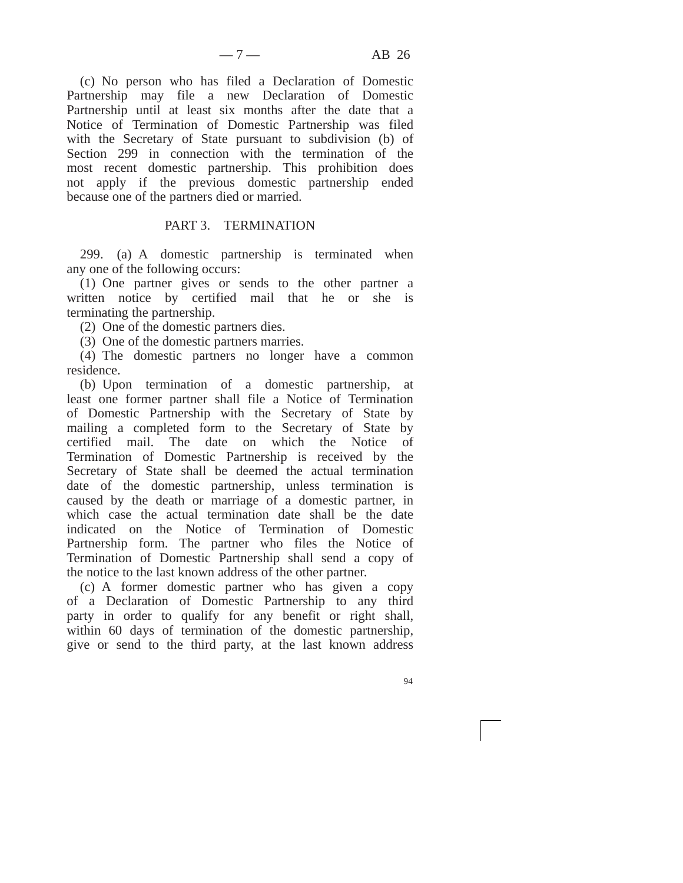$-7 -$  AB 26

(c) No person who has filed a Declaration of Domestic Partnership may file a new Declaration of Domestic Partnership until at least six months after the date that a Notice of Termination of Domestic Partnership was filed with the Secretary of State pursuant to subdivision (b) of Section 299 in connection with the termination of the most recent domestic partnership. This prohibition does not apply if the previous domestic partnership ended because one of the partners died or married.

#### PART 3. TERMINATION

299. (a) A domestic partnership is terminated when any one of the following occurs:

(1) One partner gives or sends to the other partner a written notice by certified mail that he or she is terminating the partnership.

(2) One of the domestic partners dies.

(3) One of the domestic partners marries.

(4) The domestic partners no longer have a common residence.

(b) Upon termination of a domestic partnership, at least one former partner shall file a Notice of Termination of Domestic Partnership with the Secretary of State by mailing a completed form to the Secretary of State by certified mail. The date on which the Notice of Termination of Domestic Partnership is received by the Secretary of State shall be deemed the actual termination date of the domestic partnership, unless termination is caused by the death or marriage of a domestic partner, in which case the actual termination date shall be the date indicated on the Notice of Termination of Domestic Partnership form. The partner who files the Notice of Termination of Domestic Partnership shall send a copy of the notice to the last known address of the other partner.

(c) A former domestic partner who has given a copy of a Declaration of Domestic Partnership to any third party in order to qualify for any benefit or right shall, within 60 days of termination of the domestic partnership, give or send to the third party, at the last known address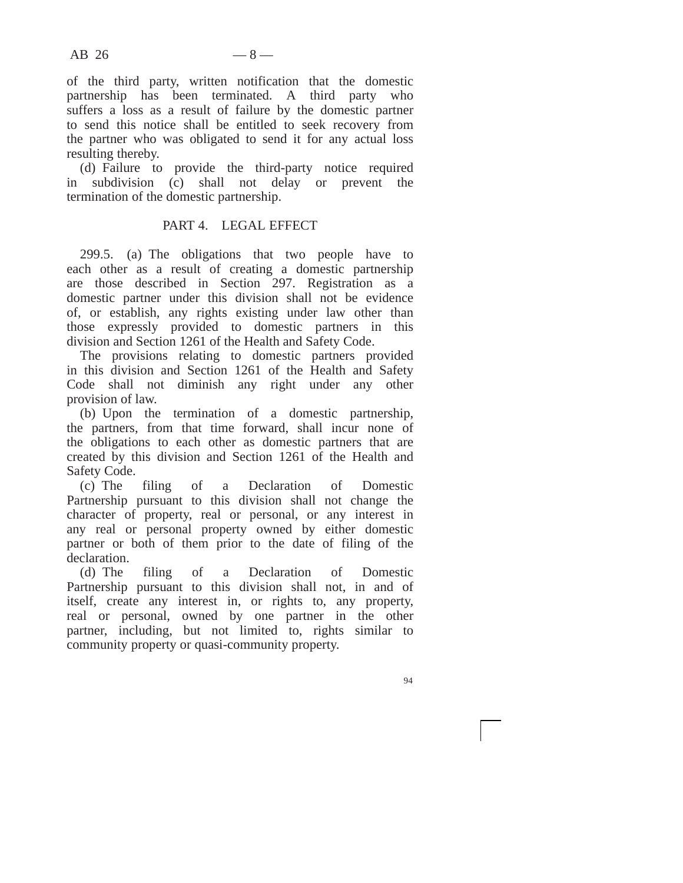of the third party, written notification that the domestic partnership has been terminated. A third party who suffers a loss as a result of failure by the domestic partner to send this notice shall be entitled to seek recovery from the partner who was obligated to send it for any actual loss resulting thereby.

(d) Failure to provide the third-party notice required in subdivision (c) shall not delay or prevent the termination of the domestic partnership.

## PART 4. LEGAL EFFECT

299.5. (a) The obligations that two people have to each other as a result of creating a domestic partnership are those described in Section 297. Registration as a domestic partner under this division shall not be evidence of, or establish, any rights existing under law other than those expressly provided to domestic partners in this division and Section 1261 of the Health and Safety Code.

The provisions relating to domestic partners provided in this division and Section 1261 of the Health and Safety Code shall not diminish any right under any other provision of law.

(b) Upon the termination of a domestic partnership, the partners, from that time forward, shall incur none of the obligations to each other as domestic partners that are created by this division and Section 1261 of the Health and Safety Code.

(c) The filing of a Declaration of Domestic Partnership pursuant to this division shall not change the character of property, real or personal, or any interest in any real or personal property owned by either domestic partner or both of them prior to the date of filing of the declaration.

(d) The filing of a Declaration of Domestic Partnership pursuant to this division shall not, in and of itself, create any interest in, or rights to, any property, real or personal, owned by one partner in the other partner, including, but not limited to, rights similar to community property or quasi-community property.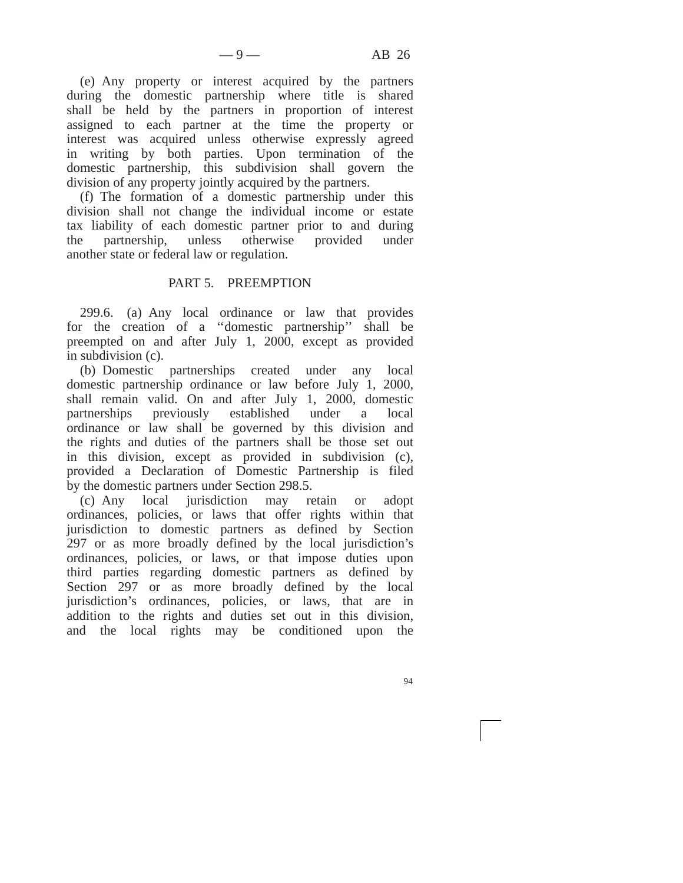(e) Any property or interest acquired by the partners during the domestic partnership where title is shared shall be held by the partners in proportion of interest assigned to each partner at the time the property or interest was acquired unless otherwise expressly agreed in writing by both parties. Upon termination of the domestic partnership, this subdivision shall govern the division of any property jointly acquired by the partners.

(f) The formation of a domestic partnership under this division shall not change the individual income or estate tax liability of each domestic partner prior to and during the partnership, unless otherwise provided under another state or federal law or regulation.

#### PART 5. PREEMPTION

299.6. (a) Any local ordinance or law that provides for the creation of a ''domestic partnership'' shall be preempted on and after July 1, 2000, except as provided in subdivision (c).

(b) Domestic partnerships created under any local domestic partnership ordinance or law before July 1, 2000, shall remain valid. On and after July 1, 2000, domestic partnerships previously established under a local ordinance or law shall be governed by this division and the rights and duties of the partners shall be those set out in this division, except as provided in subdivision (c), provided a Declaration of Domestic Partnership is filed by the domestic partners under Section 298.5.

(c) Any local jurisdiction may retain or adopt ordinances, policies, or laws that offer rights within that jurisdiction to domestic partners as defined by Section 297 or as more broadly defined by the local jurisdiction's ordinances, policies, or laws, or that impose duties upon third parties regarding domestic partners as defined by Section 297 or as more broadly defined by the local jurisdiction's ordinances, policies, or laws, that are in addition to the rights and duties set out in this division, and the local rights may be conditioned upon the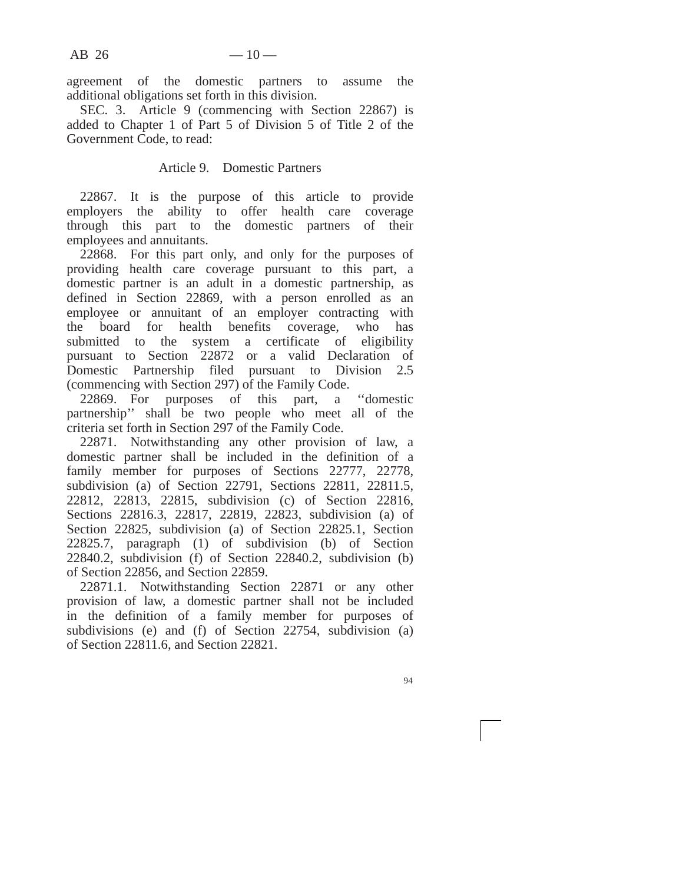agreement of the domestic partners to assume the additional obligations set forth in this division.

SEC. 3. Article 9 (commencing with Section 22867) is added to Chapter 1 of Part 5 of Division 5 of Title 2 of the Government Code, to read:

# Article 9. Domestic Partners

22867. It is the purpose of this article to provide employers the ability to offer health care coverage through this part to the domestic partners of their employees and annuitants.

22868. For this part only, and only for the purposes of providing health care coverage pursuant to this part, a domestic partner is an adult in a domestic partnership, as defined in Section 22869, with a person enrolled as an employee or annuitant of an employer contracting with the board for health benefits coverage, who has submitted to the system a certificate of eligibility pursuant to Section 22872 or a valid Declaration of Domestic Partnership filed pursuant to Division 2.5 (commencing with Section 297) of the Family Code.

22869. For purposes of this part, a ''domestic partnership'' shall be two people who meet all of the criteria set forth in Section 297 of the Family Code.

22871. Notwithstanding any other provision of law, a domestic partner shall be included in the definition of a family member for purposes of Sections 22777, 22778, subdivision (a) of Section 22791, Sections 22811, 22811.5, 22812, 22813, 22815, subdivision (c) of Section 22816, Sections 22816.3, 22817, 22819, 22823, subdivision (a) of Section 22825, subdivision (a) of Section 22825.1, Section 22825.7, paragraph (1) of subdivision (b) of Section 22840.2, subdivision (f) of Section 22840.2, subdivision (b) of Section 22856, and Section 22859.

22871.1. Notwithstanding Section 22871 or any other provision of law, a domestic partner shall not be included in the definition of a family member for purposes of subdivisions (e) and (f) of Section 22754, subdivision (a) of Section 22811.6, and Section 22821.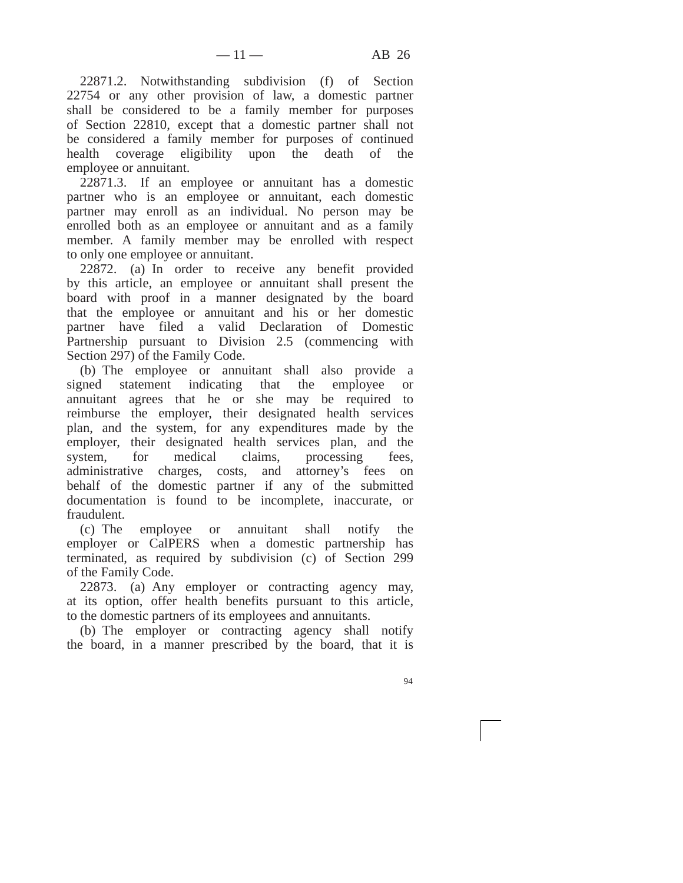22871.2. Notwithstanding subdivision (f) of Section 22754 or any other provision of law, a domestic partner shall be considered to be a family member for purposes of Section 22810, except that a domestic partner shall not be considered a family member for purposes of continued health coverage eligibility upon the death of the employee or annuitant.

22871.3. If an employee or annuitant has a domestic partner who is an employee or annuitant, each domestic partner may enroll as an individual. No person may be enrolled both as an employee or annuitant and as a family member. A family member may be enrolled with respect to only one employee or annuitant.

22872. (a) In order to receive any benefit provided by this article, an employee or annuitant shall present the board with proof in a manner designated by the board that the employee or annuitant and his or her domestic partner have filed a valid Declaration of Domestic Partnership pursuant to Division 2.5 (commencing with Section 297) of the Family Code.

(b) The employee or annuitant shall also provide a signed statement indicating that the employee or annuitant agrees that he or she may be required to reimburse the employer, their designated health services plan, and the system, for any expenditures made by the employer, their designated health services plan, and the system, for medical claims, processing fees, administrative charges, costs, and attorney's fees on behalf of the domestic partner if any of the submitted documentation is found to be incomplete, inaccurate, or fraudulent.

(c) The employee or annuitant shall notify the employer or CalPERS when a domestic partnership has terminated, as required by subdivision (c) of Section 299 of the Family Code.

22873. (a) Any employer or contracting agency may, at its option, offer health benefits pursuant to this article, to the domestic partners of its employees and annuitants.

(b) The employer or contracting agency shall notify the board, in a manner prescribed by the board, that it is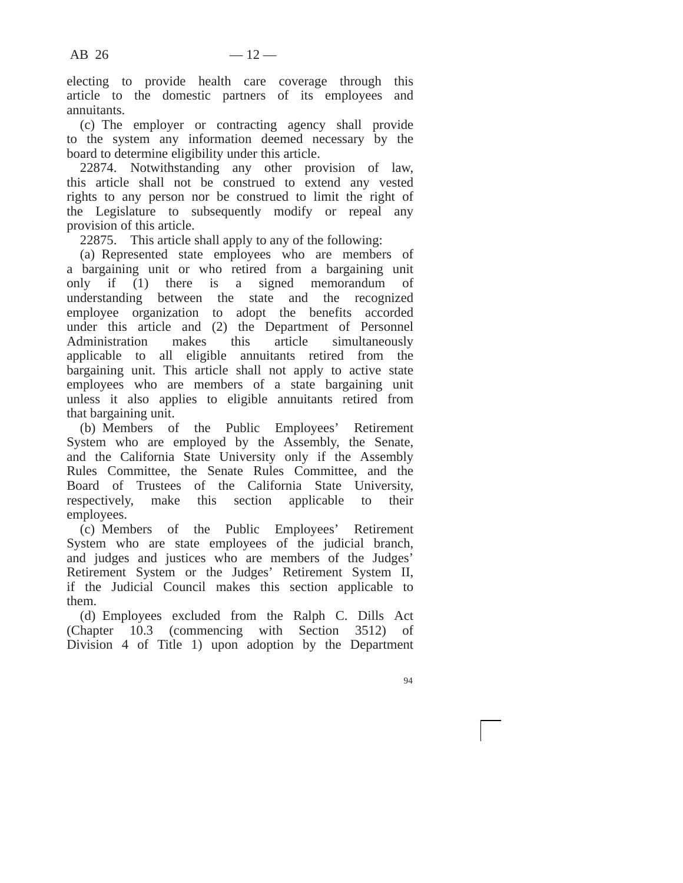electing to provide health care coverage through this article to the domestic partners of its employees and annuitants.

(c) The employer or contracting agency shall provide to the system any information deemed necessary by the board to determine eligibility under this article.

22874. Notwithstanding any other provision of law, this article shall not be construed to extend any vested rights to any person nor be construed to limit the right of the Legislature to subsequently modify or repeal any provision of this article.

22875. This article shall apply to any of the following:

(a) Represented state employees who are members of a bargaining unit or who retired from a bargaining unit only if (1) there is a signed memorandum of understanding between the state and the recognized employee organization to adopt the benefits accorded under this article and (2) the Department of Personnel Administration makes this article simultaneously applicable to all eligible annuitants retired from the bargaining unit. This article shall not apply to active state employees who are members of a state bargaining unit unless it also applies to eligible annuitants retired from that bargaining unit.

(b) Members of the Public Employees' Retirement System who are employed by the Assembly, the Senate, and the California State University only if the Assembly Rules Committee, the Senate Rules Committee, and the Board of Trustees of the California State University, respectively, make this section applicable to their employees.

(c) Members of the Public Employees' Retirement System who are state employees of the judicial branch, and judges and justices who are members of the Judges' Retirement System or the Judges' Retirement System II, if the Judicial Council makes this section applicable to them.

(d) Employees excluded from the Ralph C. Dills Act (Chapter 10.3 (commencing with Section 3512) of Division 4 of Title 1) upon adoption by the Department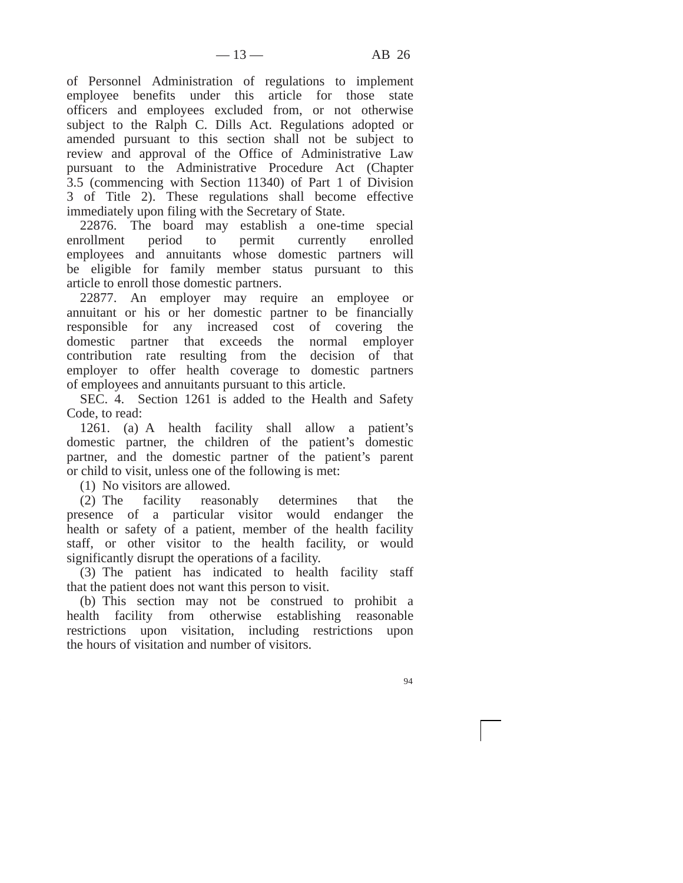of Personnel Administration of regulations to implement employee benefits under this article for those state officers and employees excluded from, or not otherwise subject to the Ralph C. Dills Act. Regulations adopted or amended pursuant to this section shall not be subject to review and approval of the Office of Administrative Law pursuant to the Administrative Procedure Act (Chapter 3.5 (commencing with Section 11340) of Part 1 of Division 3 of Title 2). These regulations shall become effective immediately upon filing with the Secretary of State.

22876. The board may establish a one-time special enrollment period to permit currently enrolled employees and annuitants whose domestic partners will be eligible for family member status pursuant to this article to enroll those domestic partners.

22877. An employer may require an employee or annuitant or his or her domestic partner to be financially responsible for any increased cost of covering the domestic partner that exceeds the normal employer contribution rate resulting from the decision of that employer to offer health coverage to domestic partners of employees and annuitants pursuant to this article.

SEC. 4. Section 1261 is added to the Health and Safety Code, to read:

1261. (a) A health facility shall allow a patient's domestic partner, the children of the patient's domestic partner, and the domestic partner of the patient's parent or child to visit, unless one of the following is met:

(1) No visitors are allowed.

(2) The facility reasonably determines that the presence of a particular visitor would endanger the health or safety of a patient, member of the health facility staff, or other visitor to the health facility, or would significantly disrupt the operations of a facility.

(3) The patient has indicated to health facility staff that the patient does not want this person to visit.

(b) This section may not be construed to prohibit a health facility from otherwise establishing reasonable restrictions upon visitation, including restrictions upon the hours of visitation and number of visitors.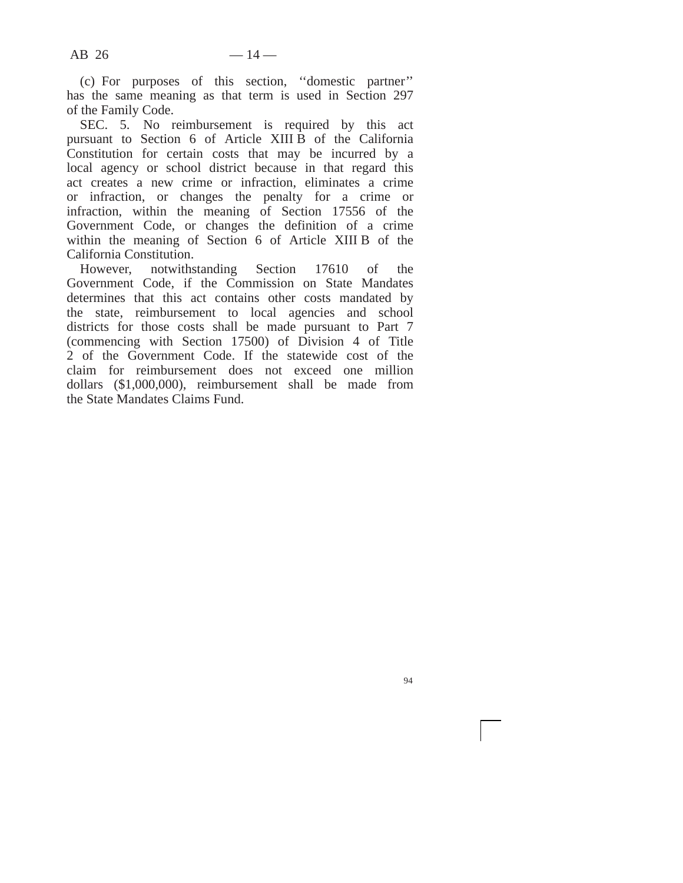(c) For purposes of this section, ''domestic partner'' has the same meaning as that term is used in Section 297 of the Family Code.

SEC. 5. No reimbursement is required by this act pursuant to Section 6 of Article XIII B of the California Constitution for certain costs that may be incurred by a local agency or school district because in that regard this act creates a new crime or infraction, eliminates a crime or infraction, or changes the penalty for a crime or infraction, within the meaning of Section 17556 of the Government Code, or changes the definition of a crime within the meaning of Section 6 of Article XIII B of the California Constitution.

However, notwithstanding Section 17610 of the Government Code, if the Commission on State Mandates determines that this act contains other costs mandated by the state, reimbursement to local agencies and school districts for those costs shall be made pursuant to Part 7 (commencing with Section 17500) of Division 4 of Title 2 of the Government Code. If the statewide cost of the claim for reimbursement does not exceed one million dollars (\$1,000,000), reimbursement shall be made from the State Mandates Claims Fund.